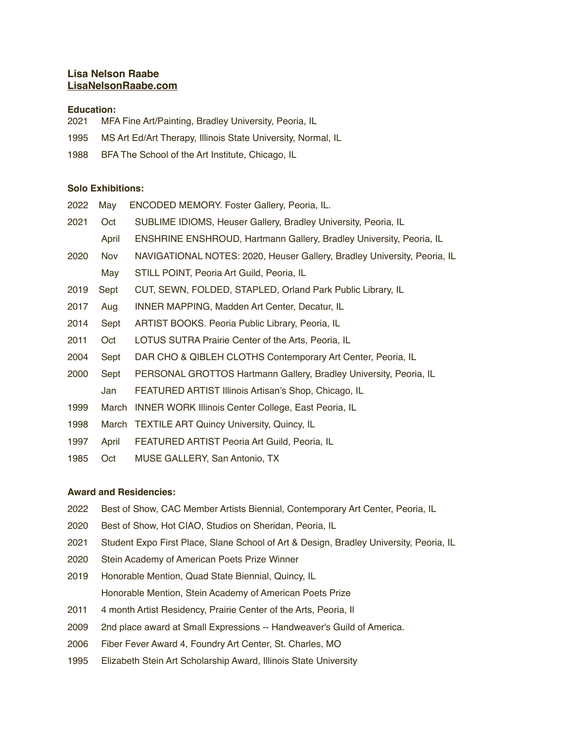# **Lisa Nelson Raabe [LisaNelsonRaabe.com](http://LisaNelsonRaabe.com)**

## **Education:**

- 2021 MFA Fine Art/Painting, Bradley University, Peoria, IL
- 1995 MS Art Ed/Art Therapy, Illinois State University, Normal, IL
- 1988 BFA The School of the Art Institute, Chicago, IL

#### **Solo Exhibitions:**

| 2022 | Mav   | ENCODED MEMORY. Foster Gallery, Peoria, IL.                              |
|------|-------|--------------------------------------------------------------------------|
| 2021 | Oct   | SUBLIME IDIOMS, Heuser Gallery, Bradley University, Peoria, IL           |
|      | April | ENSHRINE ENSHROUD, Hartmann Gallery, Bradley University, Peoria, IL      |
| 2020 | Nov.  | NAVIGATIONAL NOTES: 2020, Heuser Gallery, Bradley University, Peoria, IL |
|      | May   | STILL POINT, Peoria Art Guild, Peoria, IL                                |
| 2019 | Sept  | CUT, SEWN, FOLDED, STAPLED, Orland Park Public Library, IL               |
| 2017 | Aug   | <b>INNER MAPPING, Madden Art Center, Decatur, IL</b>                     |
| 2014 | Sept  | ARTIST BOOKS. Peoria Public Library, Peoria, IL                          |
| 2011 | Oct   | LOTUS SUTRA Prairie Center of the Arts, Peoria, IL                       |
| 2004 | Sept  | DAR CHO & QIBLEH CLOTHS Contemporary Art Center, Peoria, IL              |
| 2000 | Sept  | PERSONAL GROTTOS Hartmann Gallery, Bradley University, Peoria, IL        |
|      | Jan   | FEATURED ARTIST Illinois Artisan's Shop, Chicago, IL                     |
| 1999 | March | <b>INNER WORK Illinois Center College, East Peoria, IL</b>               |
| 1998 |       | March TEXTILE ART Quincy University, Quincy, IL                          |

- 1997 April FEATURED ARTIST Peoria Art Guild, Peoria, IL
- 1985 Oct MUSE GALLERY, San Antonio, TX

## **Award and Residencies:**

- 2022 Best of Show, CAC Member Artists Biennial, Contemporary Art Center, Peoria, IL
- 2020 Best of Show, Hot CIAO, Studios on Sheridan, Peoria, IL
- 2021 Student Expo First Place, Slane School of Art & Design, Bradley University, Peoria, IL
- 2020 Stein Academy of American Poets Prize Winner
- 2019 Honorable Mention, Quad State Biennial, Quincy, IL Honorable Mention, Stein Academy of American Poets Prize
- 2011 4 month Artist Residency, Prairie Center of the Arts, Peoria, II
- 2009 2nd place award at Small Expressions -- Handweaver's Guild of America.
- 2006 Fiber Fever Award 4, Foundry Art Center, St. Charles, MO
- 1995 Elizabeth Stein Art Scholarship Award, Illinois State University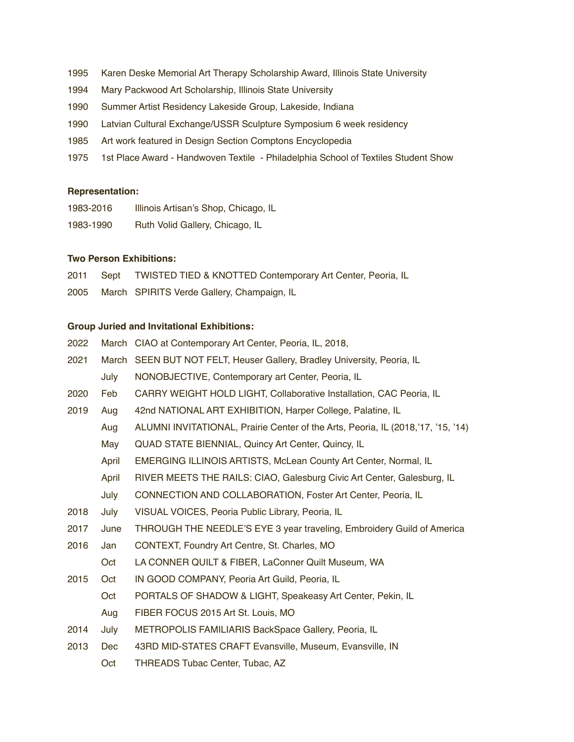- 1995 Karen Deske Memorial Art Therapy Scholarship Award, Illinois State University
- 1994 Mary Packwood Art Scholarship, Illinois State University
- 1990 Summer Artist Residency Lakeside Group, Lakeside, Indiana
- 1990 Latvian Cultural Exchange/USSR Sculpture Symposium 6 week residency
- 1985 Art work featured in Design Section Comptons Encyclopedia
- 1975 1st Place Award Handwoven Textile Philadelphia School of Textiles Student Show

#### **Representation:**

| 1983-2016 | Illinois Artisan's Shop, Chicago, IL |
|-----------|--------------------------------------|
| 1983-1990 | Ruth Volid Gallery, Chicago, IL      |

# **Two Person Exhibitions:**

2011 Sept TWISTED TIED & KNOTTED Contemporary Art Center, Peoria, IL

2005 March SPIRITS Verde Gallery, Champaign, IL

#### **Group Juried and Invitational Exhibitions:**

|  |  | 2022 March CIAO at Contemporary Art Center, Peoria, IL, 2018, |  |
|--|--|---------------------------------------------------------------|--|
|--|--|---------------------------------------------------------------|--|

- 2021 March SEEN BUT NOT FELT, Heuser Gallery, Bradley University, Peoria, IL July NONOBJECTIVE, Contemporary art Center, Peoria, IL
- 2020 Feb CARRY WEIGHT HOLD LIGHT, Collaborative Installation, CAC Peoria, IL
- 2019 Aug 42nd NATIONAL ART EXHIBITION, Harper College, Palatine, IL
	- Aug ALUMNI INVITATIONAL, Prairie Center of the Arts, Peoria, IL (2018,'17, '15, '14)
		- May QUAD STATE BIENNIAL, Quincy Art Center, Quincy, IL
		- April EMERGING ILLINOIS ARTISTS, McLean County Art Center, Normal, IL
		- April RIVER MEETS THE RAILS: CIAO, Galesburg Civic Art Center, Galesburg, IL
	- July CONNECTION AND COLLABORATION, Foster Art Center, Peoria, IL
- 2018 July VISUAL VOICES, Peoria Public Library, Peoria, IL
- 2017 June THROUGH THE NEEDLE'S EYE 3 year traveling, Embroidery Guild of America
- 2016 Jan CONTEXT, Foundry Art Centre, St. Charles, MO
	- Oct LA CONNER QUILT & FIBER, LaConner Quilt Museum, WA
- 2015 Oct IN GOOD COMPANY, Peoria Art Guild, Peoria, IL
	- Oct PORTALS OF SHADOW & LIGHT, Speakeasy Art Center, Pekin, IL
		- Aug FIBER FOCUS 2015 Art St. Louis, MO
- 2014 July METROPOLIS FAMILIARIS BackSpace Gallery, Peoria, IL
- 2013 Dec 43RD MID-STATES CRAFT Evansville, Museum, Evansville, IN
	- Oct THREADS Tubac Center, Tubac, AZ